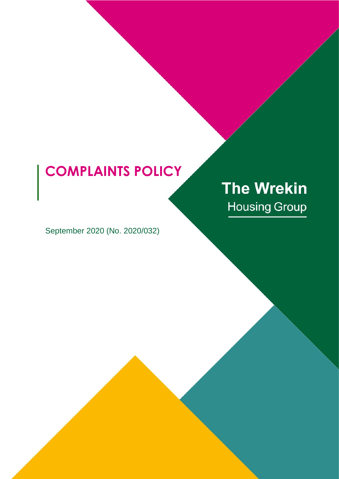## **COMPLAINTS POLICY**

# **The Wrekin Housing Group**

September 2020 (No. 2020/032)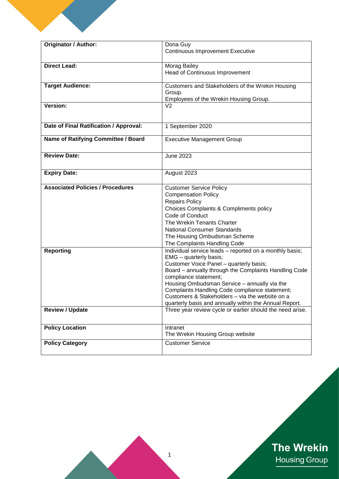| <b>Originator / Author:</b>             | Dona Guy<br><b>Continuous Improvement Executive</b>                   |
|-----------------------------------------|-----------------------------------------------------------------------|
|                                         |                                                                       |
| <b>Direct Lead:</b>                     | Morag Bailey                                                          |
|                                         | Head of Continuous Improvement                                        |
|                                         |                                                                       |
| <b>Target Audience:</b>                 | Customers and Stakeholders of the Wrekin Housing                      |
|                                         | Group.                                                                |
|                                         | Employees of the Wrekin Housing Group.                                |
| Version:                                | V <sub>2</sub>                                                        |
|                                         |                                                                       |
|                                         |                                                                       |
| Date of Final Ratification / Approval:  | 1 September 2020                                                      |
| Name of Ratifying Committee / Board     | <b>Executive Management Group</b>                                     |
|                                         |                                                                       |
|                                         |                                                                       |
| <b>Review Date:</b>                     | <b>June 2023</b>                                                      |
|                                         |                                                                       |
| <b>Expiry Date:</b>                     | August 2023                                                           |
|                                         |                                                                       |
| <b>Associated Policies / Procedures</b> | <b>Customer Service Policy</b>                                        |
|                                         | <b>Compensation Policy</b>                                            |
|                                         | <b>Repairs Policy</b>                                                 |
|                                         | Choices Complaints & Compliments policy                               |
|                                         | Code of Conduct                                                       |
|                                         | The Wrekin Tenants Charter                                            |
|                                         | <b>National Consumer Standards</b>                                    |
|                                         | The Housing Ombudsman Scheme                                          |
|                                         | The Complaints Handling Code                                          |
| <b>Reporting</b>                        | Individual service leads - reported on a monthly basis;               |
|                                         | EMG - quarterly basis;                                                |
|                                         | Customer Voice Panel - quarterly basis;                               |
|                                         | Board - annually through the Complaints Handling Code                 |
|                                         | compliance statement;<br>Housing Ombudsman Service - annually via the |
|                                         | Complaints Handling Code compliance statement;                        |
|                                         | Customers & Stakeholders - via the website on a                       |
|                                         | quarterly basis and annually within the Annual Report.                |
| <b>Review / Update</b>                  | Three year review cycle or earlier should the need arise.             |
|                                         |                                                                       |
|                                         |                                                                       |
| <b>Policy Location</b>                  | Intranet                                                              |
|                                         | The Wrekin Housing Group website                                      |
| <b>Policy Category</b>                  | <b>Customer Service</b>                                               |
|                                         |                                                                       |

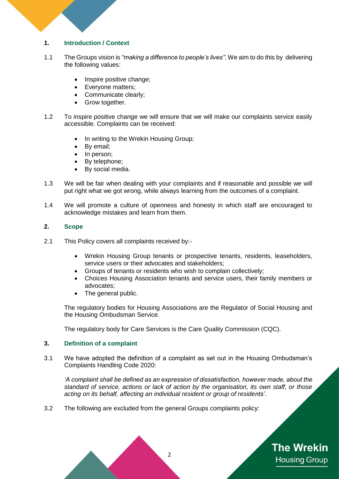#### **1. Introduction / Context**

- 1.1 The Groups vision is *"making a difference to people's lives"*. We aim to do this by delivering the following values:
	- Inspire positive change;
	- Evervone matters:
	- Communicate clearly:
	- Grow together.
- 1.2 To inspire positive change we will ensure that we will make our complaints service easily accessible. Complaints can be received:
	- In writing to the Wrekin Housing Group;
	- By email;
	- In person;
	- By telephone;
	- By social media.
- 1.3 We will be fair when dealing with your complaints and if reasonable and possible we will put right what we got wrong, while always learning from the outcomes of a complaint.
- 1.4 We will promote a culture of openness and honesty in which staff are encouraged to acknowledge mistakes and learn from them.

#### **2. Scope**

- 2.1 This Policy covers all complaints received by:-
	- Wrekin Housing Group tenants or prospective tenants, residents, leaseholders, service users or their advocates and stakeholders;
	- Groups of tenants or residents who wish to complain collectively;
	- Choices Housing Association tenants and service users, their family members or advocates;
	- The general public.

The regulatory bodies for Housing Associations are the Regulator of Social Housing and the Housing Ombudsman Service.

The regulatory body for Care Services is the Care Quality Commission (CQC).

#### **3. Definition of a complaint**

3.1 We have adopted the definition of a complaint as set out in the Housing Ombudsman's Complaints Handling Code 2020:

*'A complaint shall be defined as an expression of dissatisfaction, however made, about the standard of service, actions or lack of action by the organisation, its own staff, or those acting on its behalf, affecting an individual resident or group of residents'*.

3.2 The following are excluded from the general Groups complaints policy:

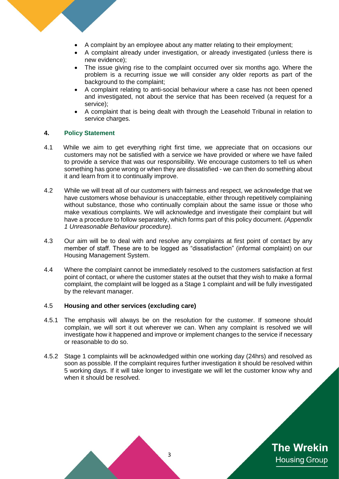- A complaint by an employee about any matter relating to their employment;
- A complaint already under investigation, or already investigated (unless there is new evidence);
- The issue giving rise to the complaint occurred over six months ago. Where the problem is a recurring issue we will consider any older reports as part of the background to the complaint;
- A complaint relating to anti-social behaviour where a case has not been opened and investigated, not about the service that has been received (a request for a service);
- A complaint that is being dealt with through the Leasehold Tribunal in relation to service charges.

#### **4. Policy Statement**

- 4.1 While we aim to get everything right first time, we appreciate that on occasions our customers may not be satisfied with a service we have provided or where we have failed to provide a service that was our responsibility. We encourage customers to tell us when something has gone wrong or when they are dissatisfied - we can then do something about it and learn from it to continually improve.
- 4.2 While we will treat all of our customers with fairness and respect, we acknowledge that we have customers whose behaviour is unacceptable, either through repetitively complaining without substance, those who continually complain about the same issue or those who make vexatious complaints. We will acknowledge and investigate their complaint but will have a procedure to follow separately, which forms part of this policy document. *(Appendix 1 Unreasonable Behaviour procedure).*
- 4.3 Our aim will be to deal with and resolve any complaints at first point of contact by any member of staff. These are to be logged as "dissatisfaction" (informal complaint) on our Housing Management System.
- 4.4 Where the complaint cannot be immediately resolved to the customers satisfaction at first point of contact, or where the customer states at the outset that they wish to make a formal complaint, the complaint will be logged as a Stage 1 complaint and will be fully investigated by the relevant manager.

#### 4.5 **Housing and other services (excluding care)**

- 4.5.1 The emphasis will always be on the resolution for the customer. If someone should complain, we will sort it out wherever we can. When any complaint is resolved we will investigate how it happened and improve or implement changes to the service if necessary or reasonable to do so.
- 4.5.2 Stage 1 complaints will be acknowledged within one working day (24hrs) and resolved as soon as possible. If the complaint requires further investigation it should be resolved within 5 working days. If it will take longer to investigate we will let the customer know why and when it should be resolved.

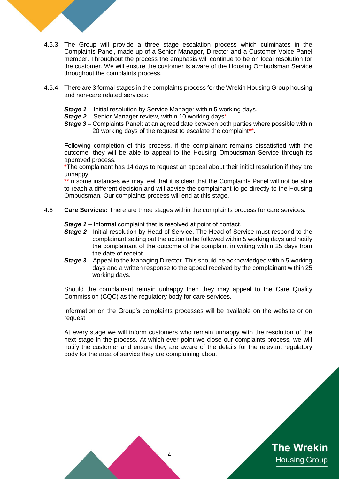- 4.5.3 The Group will provide a three stage escalation process which culminates in the Complaints Panel, made up of a Senior Manager, Director and a Customer Voice Panel member. Throughout the process the emphasis will continue to be on local resolution for the customer. We will ensure the customer is aware of the Housing Ombudsman Service throughout the complaints process.
	- 4.5.4 There are 3 formal stages in the complaints process for the Wrekin Housing Group housing and non-care related services:
		- **Stage 1** Initial resolution by Service Manager within 5 working days.
		- **Stage 2** Senior Manager review, within 10 working days\*.
		- *Stage 3* Complaints Panel: at an agreed date between both parties where possible within 20 working days of the request to escalate the complaint\*\*.

Following completion of this process, if the complainant remains dissatisfied with the outcome, they will be able to appeal to the Housing Ombudsman Service through its approved process.

\*The complainant has 14 days to request an appeal about their initial resolution if they are unhappy.

\*\*In some instances we may feel that it is clear that the Complaints Panel will not be able to reach a different decision and will advise the complainant to go directly to the Housing Ombudsman. Our complaints process will end at this stage.

4.6 **Care Services:** There are three stages within the complaints process for care services:

**Stage 1** – Informal complaint that is resolved at point of contact.

- **Stage 2** Initial resolution by Head of Service. The Head of Service must respond to the complainant setting out the action to be followed within 5 working days and notify the complainant of the outcome of the complaint in writing within 25 days from the date of receipt.
- *Stage 3* Appeal to the Managing Director. This should be acknowledged within 5 working days and a written response to the appeal received by the complainant within 25 working days.

Should the complainant remain unhappy then they may appeal to the Care Quality Commission (CQC) as the regulatory body for care services.

Information on the Group's complaints processes will be available on the website or on request.

At every stage we will inform customers who remain unhappy with the resolution of the next stage in the process. At which ever point we close our complaints process, we will notify the customer and ensure they are aware of the details for the relevant regulatory body for the area of service they are complaining about.

**The Wrekin** 

**Housing Group** 

4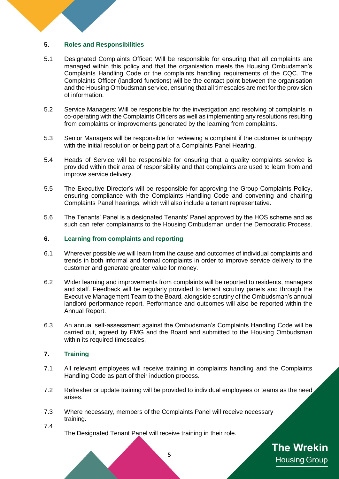#### **5. Roles and Responsibilities**

- 5.1 Designated Complaints Officer: Will be responsible for ensuring that all complaints are managed within this policy and that the organisation meets the Housing Ombudsman's Complaints Handling Code or the complaints handling requirements of the CQC. The Complaints Officer (landlord functions) will be the contact point between the organisation and the Housing Ombudsman service, ensuring that all timescales are met for the provision of information.
- 5.2 Service Managers: Will be responsible for the investigation and resolving of complaints in co-operating with the Complaints Officers as well as implementing any resolutions resulting from complaints or improvements generated by the learning from complaints.
- 5.3 Senior Managers will be responsible for reviewing a complaint if the customer is unhappy with the initial resolution or being part of a Complaints Panel Hearing.
- 5.4 Heads of Service will be responsible for ensuring that a quality complaints service is provided within their area of responsibility and that complaints are used to learn from and improve service delivery.
- 5.5 The Executive Director's will be responsible for approving the Group Complaints Policy, ensuring compliance with the Complaints Handling Code and convening and chairing Complaints Panel hearings, which will also include a tenant representative.
- 5.6 The Tenants' Panel is a designated Tenants' Panel approved by the HOS scheme and as such can refer complainants to the Housing Ombudsman under the Democratic Process.

#### **6. Learning from complaints and reporting**

- 6.1 Wherever possible we will learn from the cause and outcomes of individual complaints and trends in both informal and formal complaints in order to improve service delivery to the customer and generate greater value for money.
- 6.2 Wider learning and improvements from complaints will be reported to residents, managers and staff. Feedback will be regularly provided to tenant scrutiny panels and through the Executive Management Team to the Board, alongside scrutiny of the Ombudsman's annual landlord performance report. Performance and outcomes will also be reported within the Annual Report.
- 6.3 An annual self-assessment against the Ombudsman's Complaints Handling Code will be carried out, agreed by EMG and the Board and submitted to the Housing Ombudsman within its required timescales.

#### **7. Training**

- 7.1 All relevant employees will receive training in complaints handling and the Complaints Handling Code as part of their induction process.
- 7.2 Refresher or update training will be provided to individual employees or teams as the need, arises.
- 7.3 Where necessary, members of the Complaints Panel will receive necessary training.
- 7.4
- The Designated Tenant Panel will receive training in their role.

**The Wrekin Housing Group**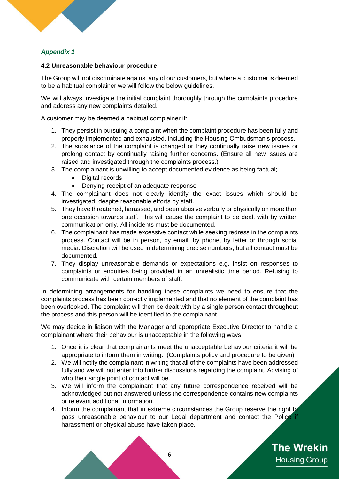### *Appendix 1*

#### **4.2 Unreasonable behaviour procedure**

The Group will not discriminate against any of our customers, but where a customer is deemed to be a habitual complainer we will follow the below guidelines.

We will always investigate the initial complaint thoroughly through the complaints procedure and address any new complaints detailed.

A customer may be deemed a habitual complainer if:

- 1. They persist in pursuing a complaint when the complaint procedure has been fully and properly implemented and exhausted, including the Housing Ombudsman's process.
- 2. The substance of the complaint is changed or they continually raise new issues or prolong contact by continually raising further concerns. (Ensure all new issues are raised and investigated through the complaints process.)
- 3. The complainant is unwilling to accept documented evidence as being factual;
	- Digital records
	- Denying receipt of an adequate response
- 4. The complainant does not clearly identify the exact issues which should be investigated, despite reasonable efforts by staff.
- 5. They have threatened, harassed, and been abusive verbally or physically on more than one occasion towards staff. This will cause the complaint to be dealt with by written communication only. All incidents must be documented.
- 6. The complainant has made excessive contact while seeking redress in the complaints process. Contact will be in person, by email, by phone, by letter or through social media. Discretion will be used in determining precise numbers, but all contact must be documented.
- 7. They display unreasonable demands or expectations e.g. insist on responses to complaints or enquiries being provided in an unrealistic time period. Refusing to communicate with certain members of staff.

In determining arrangements for handling these complaints we need to ensure that the complaints process has been correctly implemented and that no element of the complaint has been overlooked. The complaint will then be dealt with by a single person contact throughout the process and this person will be identified to the complainant.

We may decide in liaison with the Manager and appropriate Executive Director to handle a complainant where their behaviour is unacceptable in the following ways:

- 1. Once it is clear that complainants meet the unacceptable behaviour criteria it will be appropriate to inform them in writing. (Complaints policy and procedure to be given)
- 2. We will notify the complainant in writing that all of the complaints have been addressed fully and we will not enter into further discussions regarding the complaint. Advising of who their single point of contact will be.
- 3. We will inform the complainant that any future correspondence received will be acknowledged but not answered unless the correspondence contains new complaints or relevant additional information.
- 4. Inform the complainant that in extreme circumstances the Group reserve the right to pass unreasonable behaviour to our Legal department and contact the Police if harassment or physical abuse have taken place.

**The Wrekin Housing Group** 

6